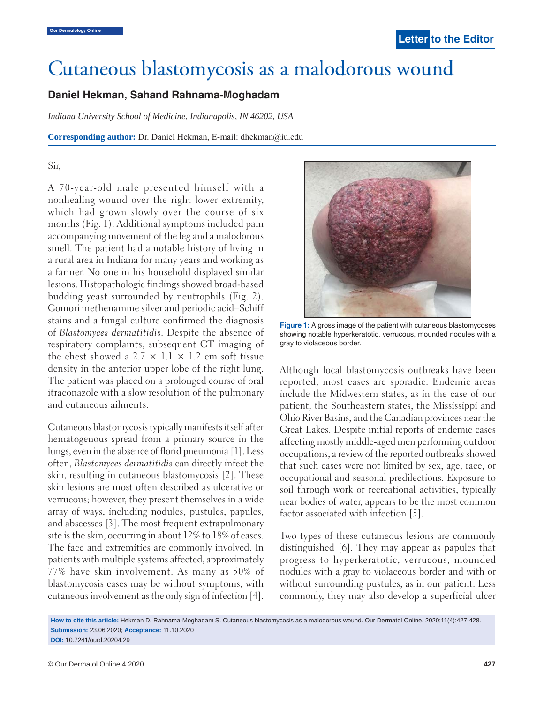# Cutaneous blastomycosis as a malodorous wound

# **Daniel Hekman, Sahand Rahnama-Moghadam**

*Indiana University School of Medicine, Indianapolis, IN 46202, USA*

**Corresponding author:** Dr. Daniel Hekman, E-mail: dhekman@iu.edu

## Sir,

A 70-year-old male presented himself with a nonhealing wound over the right lower extremity, which had grown slowly over the course of six months (Fig. 1). Additional symptoms included pain accompanying movement of the leg and a malodorous smell. The patient had a notable history of living in a rural area in Indiana for many years and working as a farmer. No one in his household displayed similar lesions. Histopathologic findings showed broad-based budding yeast surrounded by neutrophils (Fig. 2). Gomori methenamine silver and periodic acid–Schiff stains and a fungal culture confirmed the diagnosis of *Blastomyces dermatitidis*. Despite the absence of respiratory complaints, subsequent CT imaging of the chest showed a 2.7  $\times$  1.1  $\times$  1.2 cm soft tissue density in the anterior upper lobe of the right lung. The patient was placed on a prolonged course of oral itraconazole with a slow resolution of the pulmonary and cutaneous ailments.

Cutaneous blastomycosis typically manifests itself after hematogenous spread from a primary source in the lungs, even in the absence of florid pneumonia [1]. Less often, *Blastomyces dermatitidis* can directly infect the skin, resulting in cutaneous blastomycosis [2]. These skin lesions are most often described as ulcerative or verrucous; however, they present themselves in a wide array of ways, including nodules, pustules, papules, and abscesses [3]. The most frequent extrapulmonary site is the skin, occurring in about 12% to 18% of cases. The face and extremities are commonly involved. In patients with multiple systems affected, approximately 77% have skin involvement. As many as 50% of blastomycosis cases may be without symptoms, with cutaneous involvement as the only sign of infection [4].



**Figure 1:** A gross image of the patient with cutaneous blastomycoses showing notable hyperkeratotic, verrucous, mounded nodules with a gray to violaceous border.

Although local blastomycosis outbreaks have been reported, most cases are sporadic. Endemic areas include the Midwestern states, as in the case of our patient, the Southeastern states, the Mississippi and Ohio River Basins, and the Canadian provinces near the Great Lakes. Despite initial reports of endemic cases affecting mostly middle-aged men performing outdoor occupations, a review of the reported outbreaks showed that such cases were not limited by sex, age, race, or occupational and seasonal predilections. Exposure to soil through work or recreational activities, typically near bodies of water, appears to be the most common factor associated with infection [5].

Two types of these cutaneous lesions are commonly distinguished [6]. They may appear as papules that progress to hyperkeratotic, verrucous, mounded nodules with a gray to violaceous border and with or without surrounding pustules, as in our patient. Less commonly, they may also develop a superficial ulcer

**How to cite this article:** Hekman D, Rahnama-Moghadam S. Cutaneous blastomycosis as a malodorous wound. Our Dermatol Online. 2020;11(4):427-428. **Submission:** 23.06.2020; **Acceptance:** 11.10.2020 **DOI:** 10.7241/ourd.20204.29